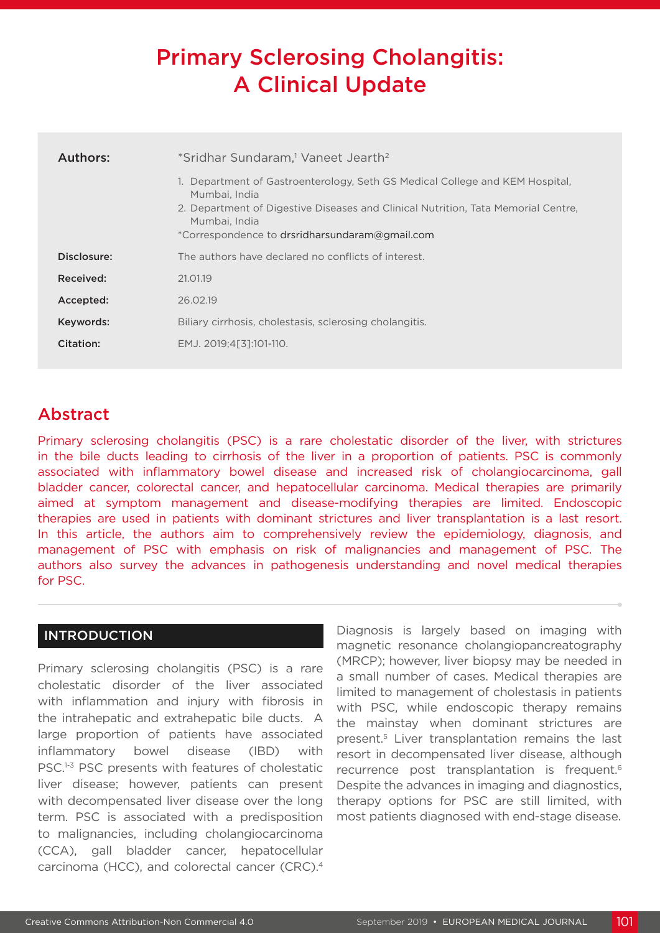# Primary Sclerosing Cholangitis: A Clinical Update

| Authors:    | *Sridhar Sundaram, <sup>1</sup> Vaneet Jearth <sup>2</sup>                                                                                                                                                                                            |
|-------------|-------------------------------------------------------------------------------------------------------------------------------------------------------------------------------------------------------------------------------------------------------|
|             | 1. Department of Gastroenterology, Seth GS Medical College and KEM Hospital.<br>Mumbai, India<br>2. Department of Digestive Diseases and Clinical Nutrition, Tata Memorial Centre,<br>Mumbai, India<br>*Correspondence to drsridharsundaram@gmail.com |
| Disclosure: | The authors have declared no conflicts of interest.                                                                                                                                                                                                   |
| Received:   | 21.01.19                                                                                                                                                                                                                                              |
| Accepted:   | 26.02.19                                                                                                                                                                                                                                              |
| Keywords:   | Biliary cirrhosis, cholestasis, sclerosing cholangitis.                                                                                                                                                                                               |
| Citation:   | EMJ. 2019:4531:101-110.                                                                                                                                                                                                                               |

## Abstract

Primary sclerosing cholangitis (PSC) is a rare cholestatic disorder of the liver, with strictures in the bile ducts leading to cirrhosis of the liver in a proportion of patients. PSC is commonly associated with inflammatory bowel disease and increased risk of cholangiocarcinoma, gall bladder cancer, colorectal cancer, and hepatocellular carcinoma. Medical therapies are primarily aimed at symptom management and disease-modifying therapies are limited. Endoscopic therapies are used in patients with dominant strictures and liver transplantation is a last resort. In this article, the authors aim to comprehensively review the epidemiology, diagnosis, and management of PSC with emphasis on risk of malignancies and management of PSC. The authors also survey the advances in pathogenesis understanding and novel medical therapies for PSC.

#### INTRODUCTION

Primary sclerosing cholangitis (PSC) is a rare cholestatic disorder of the liver associated with inflammation and injury with fibrosis in the intrahepatic and extrahepatic bile ducts. A large proportion of patients have associated inflammatory bowel disease (IBD) with PSC.<sup>1-3</sup> PSC presents with features of cholestatic liver disease; however, patients can present with decompensated liver disease over the long term. PSC is associated with a predisposition to malignancies, including cholangiocarcinoma (CCA), gall bladder cancer, hepatocellular carcinoma (HCC), and colorectal cancer (CRC).4

Diagnosis is largely based on imaging with magnetic resonance cholangiopancreatography (MRCP); however, liver biopsy may be needed in a small number of cases. Medical therapies are limited to management of cholestasis in patients with PSC, while endoscopic therapy remains the mainstay when dominant strictures are present.5 Liver transplantation remains the last resort in decompensated liver disease, although recurrence post transplantation is frequent.<sup>6</sup> Despite the advances in imaging and diagnostics, therapy options for PSC are still limited, with most patients diagnosed with end-stage disease.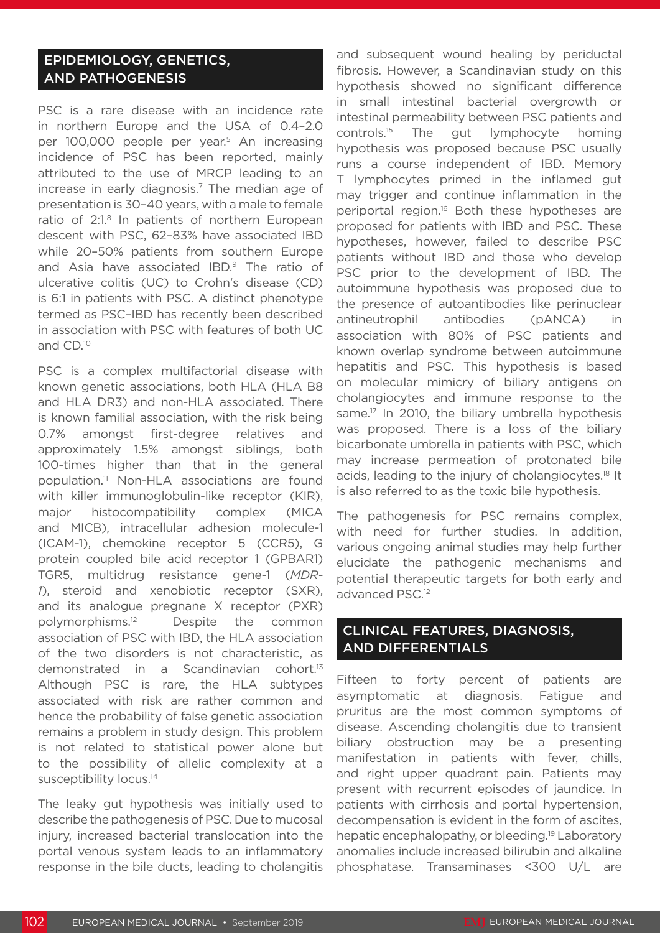#### EPIDEMIOLOGY, GENETICS, AND PATHOGENESIS

PSC is a rare disease with an incidence rate in northern Europe and the USA of 0.4–2.0 per 100,000 people per year.<sup>5</sup> An increasing incidence of PSC has been reported, mainly attributed to the use of MRCP leading to an increase in early diagnosis.7 The median age of presentation is 30–40 years, with a male to female ratio of 2:1.8 In patients of northern European descent with PSC, 62–83% have associated IBD while 20–50% patients from southern Europe and Asia have associated IBD.<sup>9</sup> The ratio of ulcerative colitis (UC) to Crohn's disease (CD) is 6:1 in patients with PSC. A distinct phenotype termed as PSC–IBD has recently been described in association with PSC with features of both UC and CD.10

PSC is a complex multifactorial disease with known genetic associations, both HLA (HLA B8 and HLA DR3) and non-HLA associated. There is known familial association, with the risk being 0.7% amongst first-degree relatives and approximately 1.5% amongst siblings, both 100-times higher than that in the general population.11 Non-HLA associations are found with killer immunoglobulin-like receptor (KIR), major histocompatibility complex (MICA and MICB), intracellular adhesion molecule-1 (ICAM-1), chemokine receptor 5 (CCR5), G protein coupled bile acid receptor 1 (GPBAR1) TGR5, multidrug resistance gene-1 (*MDR-1*), steroid and xenobiotic receptor (SXR), and its analogue pregnane X receptor (PXR) polymorphisms.12 Despite the common association of PSC with IBD, the HLA association of the two disorders is not characteristic, as demonstrated in a Scandinavian cohort.13 Although PSC is rare, the HLA subtypes associated with risk are rather common and hence the probability of false genetic association remains a problem in study design. This problem is not related to statistical power alone but to the possibility of allelic complexity at a susceptibility locus.<sup>14</sup>

The leaky gut hypothesis was initially used to describe the pathogenesis of PSC. Due to mucosal injury, increased bacterial translocation into the portal venous system leads to an inflammatory response in the bile ducts, leading to cholangitis and subsequent wound healing by periductal fibrosis. However, a Scandinavian study on this hypothesis showed no significant difference in small intestinal bacterial overgrowth or intestinal permeability between PSC patients and controls.15 The gut lymphocyte homing hypothesis was proposed because PSC usually runs a course independent of IBD. Memory T lymphocytes primed in the inflamed gut may trigger and continue inflammation in the periportal region.<sup>16</sup> Both these hypotheses are proposed for patients with IBD and PSC. These hypotheses, however, failed to describe PSC patients without IBD and those who develop PSC prior to the development of IBD. The autoimmune hypothesis was proposed due to the presence of autoantibodies like perinuclear antineutrophil antibodies (pANCA) in association with 80% of PSC patients and known overlap syndrome between autoimmune hepatitis and PSC. This hypothesis is based on molecular mimicry of biliary antigens on cholangiocytes and immune response to the same.<sup>17</sup> In 2010, the biliary umbrella hypothesis was proposed. There is a loss of the biliary bicarbonate umbrella in patients with PSC, which may increase permeation of protonated bile acids, leading to the injury of cholangiocytes.18 It is also referred to as the toxic bile hypothesis.

The pathogenesis for PSC remains complex, with need for further studies. In addition, various ongoing animal studies may help further elucidate the pathogenic mechanisms and potential therapeutic targets for both early and advanced PSC.12

### CLINICAL FEATURES, DIAGNOSIS, AND DIFFERENTIALS

Fifteen to forty percent of patients are asymptomatic at diagnosis. Fatigue and pruritus are the most common symptoms of disease. Ascending cholangitis due to transient biliary obstruction may be a presenting manifestation in patients with fever, chills, and right upper quadrant pain. Patients may present with recurrent episodes of jaundice. In patients with cirrhosis and portal hypertension, decompensation is evident in the form of ascites, hepatic encephalopathy, or bleeding.<sup>19</sup> Laboratory anomalies include increased bilirubin and alkaline phosphatase. Transaminases <300 U/L are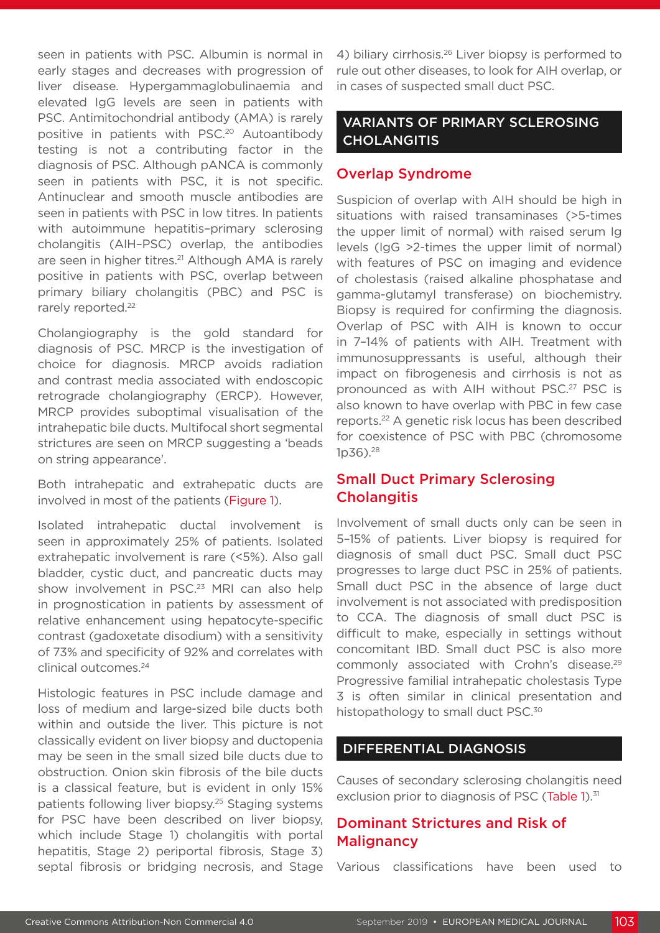seen in patients with PSC. Albumin is normal in early stages and decreases with progression of liver disease. Hypergammaglobulinaemia and elevated IgG levels are seen in patients with PSC. Antimitochondrial antibody (AMA) is rarely positive in patients with PSC.20 Autoantibody testing is not a contributing factor in the diagnosis of PSC. Although pANCA is commonly seen in patients with PSC, it is not specific. Antinuclear and smooth muscle antibodies are seen in patients with PSC in low titres. In patients with autoimmune hepatitis-primary sclerosing cholangitis (AIH–PSC) overlap, the antibodies are seen in higher titres.<sup>21</sup> Although AMA is rarely positive in patients with PSC, overlap between primary biliary cholangitis (PBC) and PSC is rarely reported.<sup>22</sup>

Cholangiography is the gold standard for diagnosis of PSC. MRCP is the investigation of choice for diagnosis. MRCP avoids radiation and contrast media associated with endoscopic retrograde cholangiography (ERCP). However, MRCP provides suboptimal visualisation of the intrahepatic bile ducts. Multifocal short segmental strictures are seen on MRCP suggesting a 'beads on string appearance'.

Both intrahepatic and extrahepatic ducts are involved in most of the patients (Figure 1).

Isolated intrahepatic ductal involvement is seen in approximately 25% of patients. Isolated extrahepatic involvement is rare (<5%). Also gall bladder, cystic duct, and pancreatic ducts may show involvement in PSC.<sup>23</sup> MRI can also help in prognostication in patients by assessment of relative enhancement using hepatocyte-specific contrast (gadoxetate disodium) with a sensitivity of 73% and specificity of 92% and correlates with clinical outcomes.24

Histologic features in PSC include damage and loss of medium and large-sized bile ducts both within and outside the liver. This picture is not classically evident on liver biopsy and ductopenia may be seen in the small sized bile ducts due to obstruction. Onion skin fibrosis of the bile ducts is a classical feature, but is evident in only 15% patients following liver biopsy.<sup>25</sup> Staging systems for PSC have been described on liver biopsy, which include Stage 1) cholangitis with portal hepatitis, Stage 2) periportal fibrosis, Stage 3) septal fibrosis or bridging necrosis, and Stage

4) biliary cirrhosis.<sup>26</sup> Liver biopsy is performed to rule out other diseases, to look for AIH overlap, or in cases of suspected small duct PSC.

### VARIANTS OF PRIMARY SCLEROSING **CHOLANGITIS**

#### Overlap Syndrome

Suspicion of overlap with AIH should be high in situations with raised transaminases (>5-times the upper limit of normal) with raised serum Ig levels (IgG >2-times the upper limit of normal) with features of PSC on imaging and evidence of cholestasis (raised alkaline phosphatase and gamma-glutamyl transferase) on biochemistry. Biopsy is required for confirming the diagnosis. Overlap of PSC with AIH is known to occur in 7–14% of patients with AIH. Treatment with immunosuppressants is useful, although their impact on fibrogenesis and cirrhosis is not as pronounced as with AIH without PSC.27 PSC is also known to have overlap with PBC in few case reports.22 A genetic risk locus has been described for coexistence of PSC with PBC (chromosome 1p36).28

#### Small Duct Primary Sclerosing **Cholangitis**

Involvement of small ducts only can be seen in 5–15% of patients. Liver biopsy is required for diagnosis of small duct PSC. Small duct PSC progresses to large duct PSC in 25% of patients. Small duct PSC in the absence of large duct involvement is not associated with predisposition to CCA. The diagnosis of small duct PSC is difficult to make, especially in settings without concomitant IBD. Small duct PSC is also more commonly associated with Crohn's disease.29 Progressive familial intrahepatic cholestasis Type 3 is often similar in clinical presentation and histopathology to small duct PSC.<sup>30</sup>

#### DIFFERENTIAL DIAGNOSIS

Causes of secondary sclerosing cholangitis need exclusion prior to diagnosis of PSC (Table 1).<sup>31</sup>

#### Dominant Strictures and Risk of **Malignancy**

Various classifications have been used to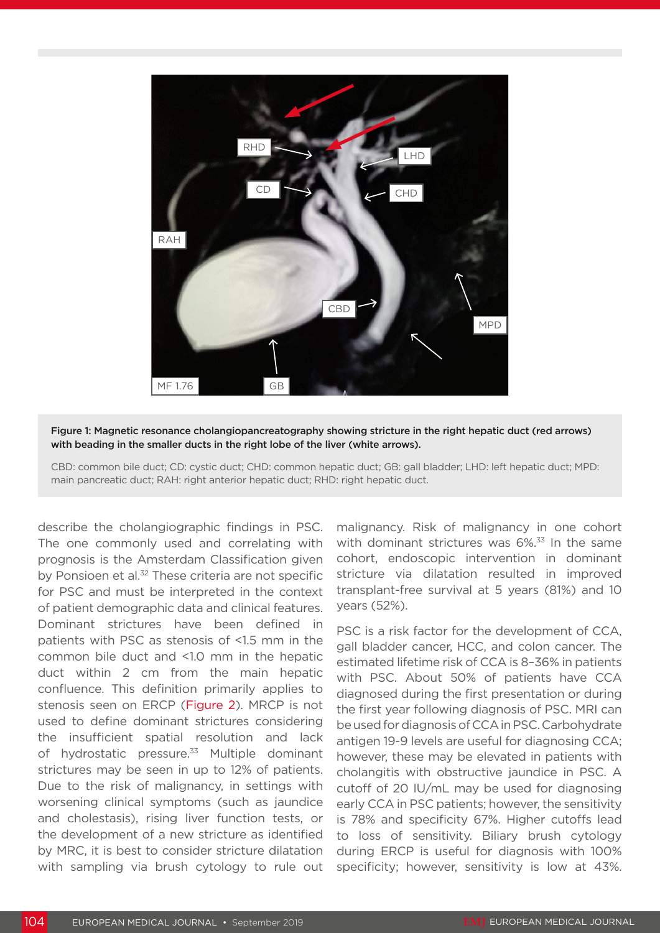

Figure 1: Magnetic resonance cholangiopancreatography showing stricture in the right hepatic duct (red arrows) with beading in the smaller ducts in the right lobe of the liver (white arrows).

CBD: common bile duct; CD: cystic duct; CHD: common hepatic duct; GB: gall bladder; LHD: left hepatic duct; MPD: main pancreatic duct; RAH: right anterior hepatic duct; RHD: right hepatic duct.

describe the cholangiographic findings in PSC. The one commonly used and correlating with prognosis is the Amsterdam Classification given by Ponsioen et al.<sup>32</sup> These criteria are not specific for PSC and must be interpreted in the context of patient demographic data and clinical features. Dominant strictures have been defined in patients with PSC as stenosis of <1.5 mm in the common bile duct and <1.0 mm in the hepatic duct within 2 cm from the main hepatic confluence. This definition primarily applies to stenosis seen on ERCP (Figure 2). MRCP is not used to define dominant strictures considering the insufficient spatial resolution and lack of hydrostatic pressure.<sup>33</sup> Multiple dominant strictures may be seen in up to 12% of patients. Due to the risk of malignancy, in settings with worsening clinical symptoms (such as jaundice and cholestasis), rising liver function tests, or the development of a new stricture as identified by MRC, it is best to consider stricture dilatation with sampling via brush cytology to rule out

malignancy. Risk of malignancy in one cohort with dominant strictures was 6%.<sup>33</sup> In the same cohort, endoscopic intervention in dominant stricture via dilatation resulted in improved transplant-free survival at 5 years (81%) and 10 years (52%).

PSC is a risk factor for the development of CCA, gall bladder cancer, HCC, and colon cancer. The estimated lifetime risk of CCA is 8–36% in patients with PSC. About 50% of patients have CCA diagnosed during the first presentation or during the first year following diagnosis of PSC. MRI can be used for diagnosis of CCA in PSC. Carbohydrate antigen 19-9 levels are useful for diagnosing CCA; however, these may be elevated in patients with cholangitis with obstructive jaundice in PSC. A cutoff of 20 IU/mL may be used for diagnosing early CCA in PSC patients; however, the sensitivity is 78% and specificity 67%. Higher cutoffs lead to loss of sensitivity. Biliary brush cytology during ERCP is useful for diagnosis with 100% specificity; however, sensitivity is low at 43%.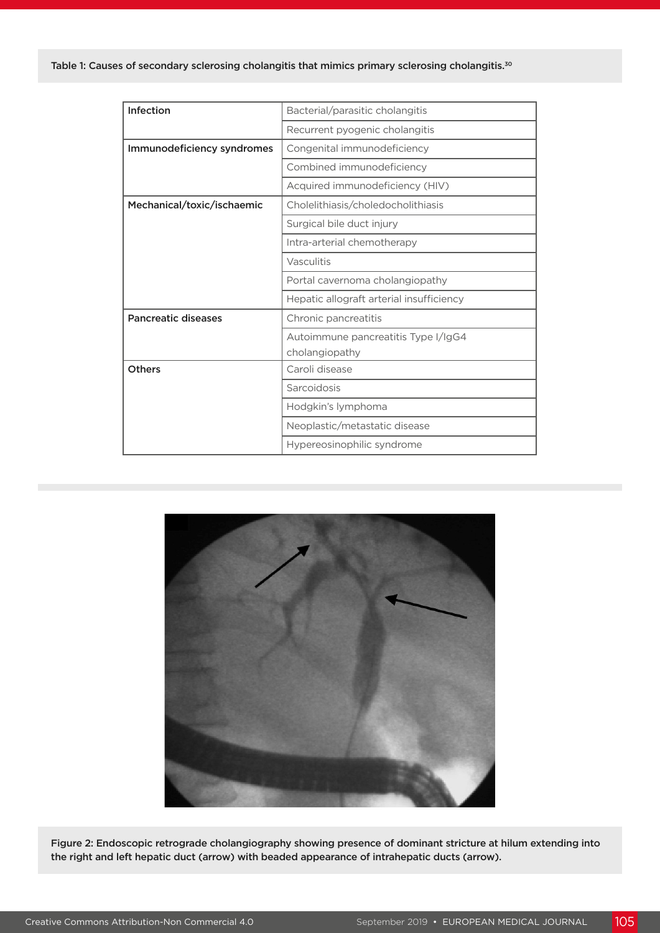| Bacterial/parasitic cholangitis          |
|------------------------------------------|
| Recurrent pyogenic cholangitis           |
| Congenital immunodeficiency              |
| Combined immunodeficiency                |
| Acquired immunodeficiency (HIV)          |
| Cholelithiasis/choledocholithiasis       |
| Surgical bile duct injury                |
| Intra-arterial chemotherapy              |
| Vasculitis                               |
| Portal cavernoma cholangiopathy          |
| Hepatic allograft arterial insufficiency |
| Chronic pancreatitis                     |
| Autoimmune pancreatitis Type I/IgG4      |
| cholangiopathy                           |
| Caroli disease                           |
| Sarcoidosis                              |
| Hodgkin's lymphoma                       |
| Neoplastic/metastatic disease            |
| Hypereosinophilic syndrome               |
|                                          |



Figure 2: Endoscopic retrograde cholangiography showing presence of dominant stricture at hilum extending into the right and left hepatic duct (arrow) with beaded appearance of intrahepatic ducts (arrow).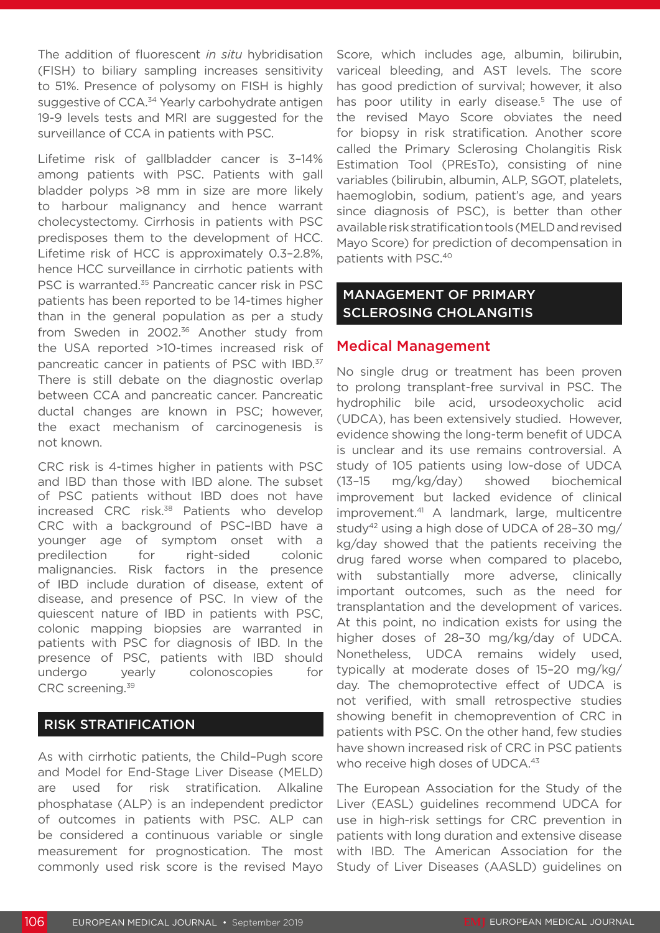The addition of fluorescent *in situ* hybridisation (FISH) to biliary sampling increases sensitivity to 51%. Presence of polysomy on FISH is highly suggestive of CCA.<sup>34</sup> Yearly carbohydrate antigen 19-9 levels tests and MRI are suggested for the surveillance of CCA in patients with PSC.

Lifetime risk of gallbladder cancer is 3–14% among patients with PSC. Patients with gall bladder polyps >8 mm in size are more likely to harbour malignancy and hence warrant cholecystectomy. Cirrhosis in patients with PSC predisposes them to the development of HCC. Lifetime risk of HCC is approximately 0.3–2.8%, hence HCC surveillance in cirrhotic patients with PSC is warranted.<sup>35</sup> Pancreatic cancer risk in PSC patients has been reported to be 14-times higher than in the general population as per a study from Sweden in 2002.<sup>36</sup> Another study from the USA reported >10-times increased risk of pancreatic cancer in patients of PSC with IBD.<sup>37</sup> There is still debate on the diagnostic overlap between CCA and pancreatic cancer. Pancreatic ductal changes are known in PSC; however, the exact mechanism of carcinogenesis is not known.

CRC risk is 4-times higher in patients with PSC and IBD than those with IBD alone. The subset of PSC patients without IBD does not have increased CRC risk.38 Patients who develop CRC with a background of PSC–IBD have a younger age of symptom onset with a predilection for right-sided colonic malignancies. Risk factors in the presence of IBD include duration of disease, extent of disease, and presence of PSC. In view of the quiescent nature of IBD in patients with PSC, colonic mapping biopsies are warranted in patients with PSC for diagnosis of IBD. In the presence of PSC, patients with IBD should undergo yearly colonoscopies for CRC screening.39

#### RISK STRATIFICATION

As with cirrhotic patients, the Child–Pugh score and Model for End-Stage Liver Disease (MELD) are used for risk stratification. Alkaline phosphatase (ALP) is an independent predictor of outcomes in patients with PSC. ALP can be considered a continuous variable or single measurement for prognostication. The most commonly used risk score is the revised Mayo Score, which includes age, albumin, bilirubin, variceal bleeding, and AST levels. The score has good prediction of survival; however, it also has poor utility in early disease.<sup>5</sup> The use of the revised Mayo Score obviates the need for biopsy in risk stratification. Another score called the Primary Sclerosing Cholangitis Risk Estimation Tool (PREsTo), consisting of nine variables (bilirubin, albumin, ALP, SGOT, platelets, haemoglobin, sodium, patient's age, and years since diagnosis of PSC), is better than other available risk stratification tools (MELD and revised Mayo Score) for prediction of decompensation in patients with PSC.40

#### MANAGEMENT OF PRIMARY SCLEROSING CHOLANGITIS

#### Medical Management

No single drug or treatment has been proven to prolong transplant-free survival in PSC. The hydrophilic bile acid, ursodeoxycholic acid (UDCA), has been extensively studied. However, evidence showing the long-term benefit of UDCA is unclear and its use remains controversial. A study of 105 patients using low-dose of UDCA (13–15 mg/kg/day) showed biochemical improvement but lacked evidence of clinical improvement.41 A landmark, large, multicentre study42 using a high dose of UDCA of 28–30 mg/ kg/day showed that the patients receiving the drug fared worse when compared to placebo, with substantially more adverse, clinically important outcomes, such as the need for transplantation and the development of varices. At this point, no indication exists for using the higher doses of 28–30 mg/kg/day of UDCA. Nonetheless, UDCA remains widely used, typically at moderate doses of 15–20 mg/kg/ day. The chemoprotective effect of UDCA is not verified, with small retrospective studies showing benefit in chemoprevention of CRC in patients with PSC. On the other hand, few studies have shown increased risk of CRC in PSC patients who receive high doses of UDCA.<sup>43</sup>

The European Association for the Study of the Liver (EASL) guidelines recommend UDCA for use in high-risk settings for CRC prevention in patients with long duration and extensive disease with IBD. The American Association for the Study of Liver Diseases (AASLD) guidelines on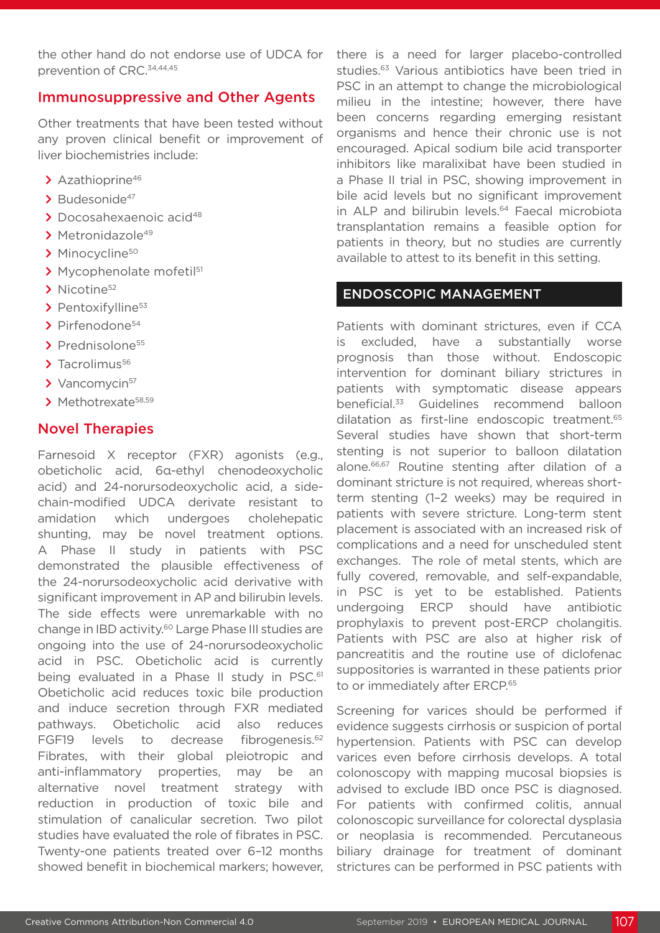the other hand do not endorse use of UDCA for prevention of CRC.34,44,45

#### Immunosuppressive and Other Agents

Other treatments that have been tested without any proven clinical benefit or improvement of liver biochemistries include:

- **>** Azathioprine46
- > Budesonide<sup>47</sup>
- **>** Docosahexaenoic acid48
- > Metronidazole<sup>49</sup>
- > Minocycline<sup>50</sup>
- **>** Mycophenolate mofetil51
- > Nicotine<sup>52</sup>
- > Pentoxifylline<sup>53</sup>
- **>** Pirfenodone54
- > Prednisolone<sup>55</sup>
- > Tacrolimus<sup>56</sup>
- > Vancomvcin<sup>57</sup>
- **>** Methotrexate58,59

#### Novel Therapies

Farnesoid X receptor (FXR) agonists (e.g., obeticholic acid, 6α-ethyl chenodeoxycholic acid) and 24-norursodeoxycholic acid, a sidechain-modified UDCA derivate resistant to amidation which undergoes cholehepatic shunting, may be novel treatment options. A Phase II study in patients with PSC demonstrated the plausible effectiveness of the 24-norursodeoxycholic acid derivative with significant improvement in AP and bilirubin levels. The side effects were unremarkable with no change in IBD activity.60 Large Phase III studies are ongoing into the use of 24-norursodeoxycholic acid in PSC. Obeticholic acid is currently being evaluated in a Phase II study in PSC.<sup>61</sup> Obeticholic acid reduces toxic bile production and induce secretion through FXR mediated pathways. Obeticholic acid also reduces FGF19 levels to decrease fibrogenesis.<sup>62</sup> Fibrates, with their global pleiotropic and anti-inflammatory properties, may be an alternative novel treatment strategy with reduction in production of toxic bile and stimulation of canalicular secretion. Two pilot studies have evaluated the role of fibrates in PSC. Twenty-one patients treated over 6–12 months showed benefit in biochemical markers; however,

there is a need for larger placebo-controlled studies.<sup>63</sup> Various antibiotics have been tried in PSC in an attempt to change the microbiological milieu in the intestine; however, there have been concerns regarding emerging resistant organisms and hence their chronic use is not encouraged. Apical sodium bile acid transporter inhibitors like maralixibat have been studied in a Phase II trial in PSC, showing improvement in bile acid levels but no significant improvement in ALP and bilirubin levels.<sup>64</sup> Faecal microbiota transplantation remains a feasible option for patients in theory, but no studies are currently available to attest to its benefit in this setting.

#### ENDOSCOPIC MANAGEMENT

Patients with dominant strictures, even if CCA is excluded, have a substantially worse prognosis than those without. Endoscopic intervention for dominant biliary strictures in patients with symptomatic disease appears beneficial.33 Guidelines recommend balloon dilatation as first-line endoscopic treatment.65 Several studies have shown that short-term stenting is not superior to balloon dilatation alone.66,67 Routine stenting after dilation of a dominant stricture is not required, whereas shortterm stenting (1–2 weeks) may be required in patients with severe stricture. Long-term stent placement is associated with an increased risk of complications and a need for unscheduled stent exchanges. The role of metal stents, which are fully covered, removable, and self-expandable, in PSC is yet to be established. Patients undergoing ERCP should have antibiotic prophylaxis to prevent post-ERCP cholangitis. Patients with PSC are also at higher risk of pancreatitis and the routine use of diclofenac suppositories is warranted in these patients prior to or immediately after ERCP.<sup>65</sup>

Screening for varices should be performed if evidence suggests cirrhosis or suspicion of portal hypertension. Patients with PSC can develop varices even before cirrhosis develops. A total colonoscopy with mapping mucosal biopsies is advised to exclude IBD once PSC is diagnosed. For patients with confirmed colitis, annual colonoscopic surveillance for colorectal dysplasia or neoplasia is recommended. Percutaneous biliary drainage for treatment of dominant strictures can be performed in PSC patients with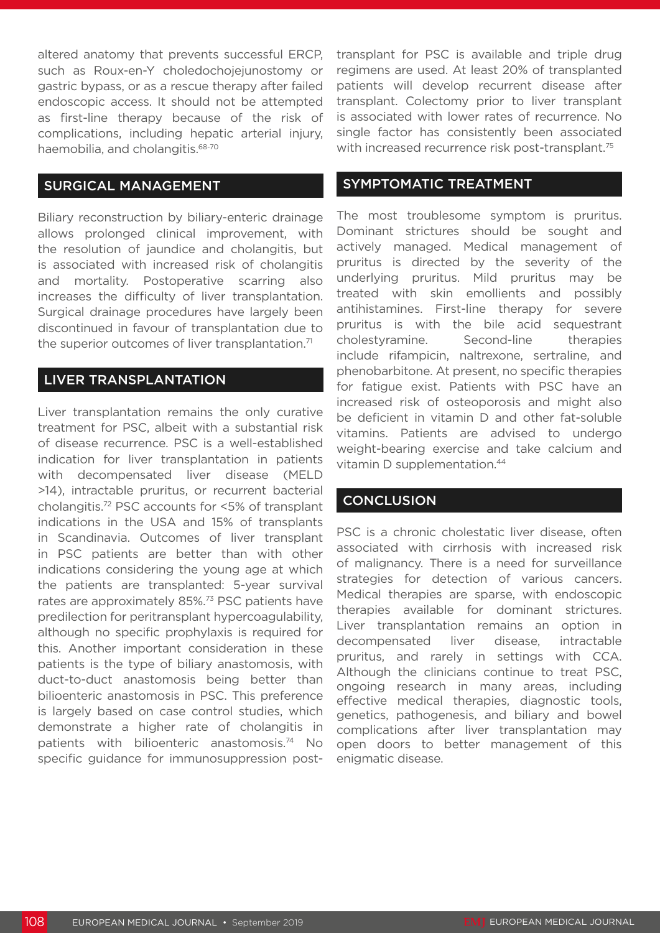altered anatomy that prevents successful ERCP, such as Roux-en-Y choledochojejunostomy or gastric bypass, or as a rescue therapy after failed endoscopic access. It should not be attempted as first-line therapy because of the risk of complications, including hepatic arterial injury, haemobilia, and cholangitis.<sup>68-70</sup>

#### SURGICAL MANAGEMENT

Biliary reconstruction by biliary-enteric drainage allows prolonged clinical improvement, with the resolution of jaundice and cholangitis, but is associated with increased risk of cholangitis and mortality. Postoperative scarring also increases the difficulty of liver transplantation. Surgical drainage procedures have largely been discontinued in favour of transplantation due to the superior outcomes of liver transplantation.<sup>71</sup>

#### LIVER TRANSPLANTATION

Liver transplantation remains the only curative treatment for PSC, albeit with a substantial risk of disease recurrence. PSC is a well-established indication for liver transplantation in patients with decompensated liver disease (MELD >14), intractable pruritus, or recurrent bacterial cholangitis.72 PSC accounts for <5% of transplant indications in the USA and 15% of transplants in Scandinavia. Outcomes of liver transplant in PSC patients are better than with other indications considering the young age at which the patients are transplanted: 5-year survival rates are approximately 85%.<sup>73</sup> PSC patients have predilection for peritransplant hypercoagulability, although no specific prophylaxis is required for this. Another important consideration in these patients is the type of biliary anastomosis, with duct-to-duct anastomosis being better than bilioenteric anastomosis in PSC. This preference is largely based on case control studies, which demonstrate a higher rate of cholangitis in patients with bilioenteric anastomosis.74 No specific guidance for immunosuppression posttransplant for PSC is available and triple drug regimens are used. At least 20% of transplanted patients will develop recurrent disease after transplant. Colectomy prior to liver transplant is associated with lower rates of recurrence. No single factor has consistently been associated with increased recurrence risk post-transplant.<sup>75</sup>

#### SYMPTOMATIC TREATMENT

The most troublesome symptom is pruritus. Dominant strictures should be sought and actively managed. Medical management of pruritus is directed by the severity of the underlying pruritus. Mild pruritus may be treated with skin emollients and possibly antihistamines. First-line therapy for severe pruritus is with the bile acid sequestrant cholestyramine. Second-line therapies include rifampicin, naltrexone, sertraline, and phenobarbitone. At present, no specific therapies for fatigue exist. Patients with PSC have an increased risk of osteoporosis and might also be deficient in vitamin D and other fat-soluble vitamins. Patients are advised to undergo weight-bearing exercise and take calcium and vitamin D supplementation.<sup>44</sup>

#### **CONCLUSION**

PSC is a chronic cholestatic liver disease, often associated with cirrhosis with increased risk of malignancy. There is a need for surveillance strategies for detection of various cancers. Medical therapies are sparse, with endoscopic therapies available for dominant strictures. Liver transplantation remains an option in decompensated liver disease, intractable pruritus, and rarely in settings with CCA. Although the clinicians continue to treat PSC, ongoing research in many areas, including effective medical therapies, diagnostic tools, genetics, pathogenesis, and biliary and bowel complications after liver transplantation may open doors to better management of this enigmatic disease.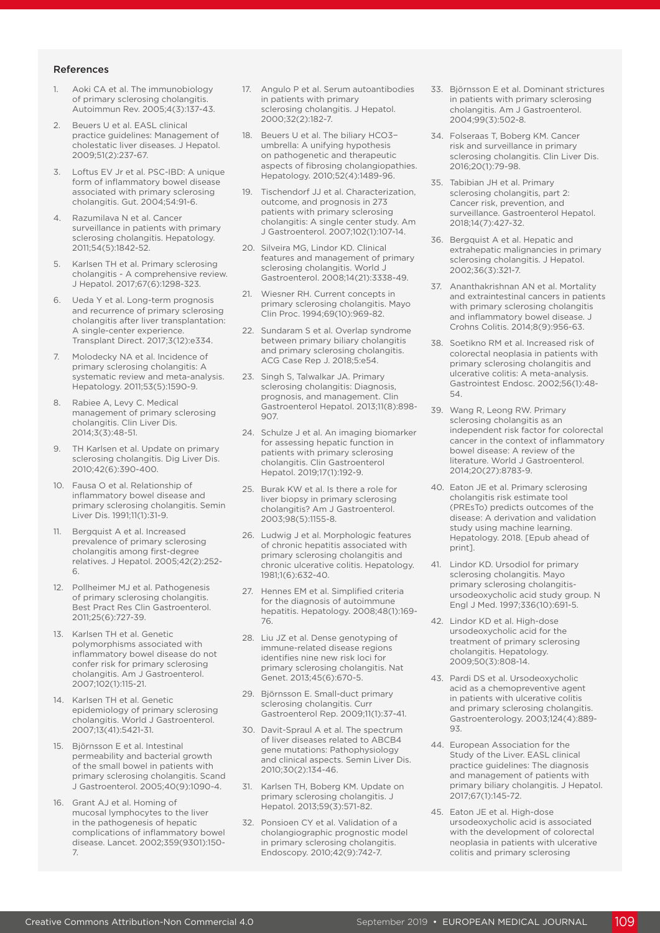#### References

- 1. Aoki CA et al. The immunobiology of primary sclerosing cholangitis. Autoimmun Rev. 2005;4(3):137-43.
- 2. Beuers U et al. EASL clinical practice guidelines: Management of cholestatic liver diseases. J Hepatol. 2009;51(2):237-67.
- Loftus EV Jr et al. PSC-IBD: A unique form of inflammatory bowel disease associated with primary sclerosing cholangitis. Gut. 2004;54:91-6.
- 4. Razumilava N et al. Cancer surveillance in patients with primary sclerosing cholangitis. Hepatology. 2011;54(5):1842-52.
- 5. Karlsen TH et al. Primary sclerosing cholangitis - A comprehensive review. J Hepatol. 2017;67(6):1298-323.
- 6. Ueda Y et al. Long-term prognosis and recurrence of primary sclerosing cholangitis after liver transplantation: A single-center experience. Transplant Direct. 2017;3(12):e334.
- 7. Molodecky NA et al. Incidence of primary sclerosing cholangitis: A systematic review and meta-analysis. Hepatology. 2011;53(5):1590-9.
- 8. Rabiee A, Levy C. Medical management of primary sclerosing cholangitis. Clin Liver Dis. 2014;3(3):48-51.
- 9. TH Karlsen et al. Update on primary sclerosing cholangitis. Dig Liver Dis. 2010;42(6):390-400.
- 10. Fausa O et al. Relationship of inflammatory bowel disease and primary sclerosing cholangitis. Semin Liver Dis. 1991;11(1):31-9.
- 11. Bergquist A et al. Increased prevalence of primary sclerosing cholangitis among first-degree relatives. J Hepatol. 2005;42(2):252- 6.
- 12. Pollheimer MJ et al. Pathogenesis of primary sclerosing cholangitis. Best Pract Res Clin Gastroenterol. 2011;25(6):727-39.
- 13. Karlsen TH et al. Genetic polymorphisms associated with inflammatory bowel disease do not confer risk for primary sclerosing cholangitis. Am J Gastroenterol. 2007;102(1):115-21.
- 14. Karlsen TH et al. Genetic epidemiology of primary sclerosing cholangitis. World J Gastroenterol. 2007;13(41):5421-31.
- 15. Björnsson E et al. Intestinal permeability and bacterial growth of the small bowel in patients with primary sclerosing cholangitis. Scand J Gastroenterol. 2005;40(9):1090-4.
- 16. Grant AJ et al. Homing of mucosal lymphocytes to the liver in the pathogenesis of hepatic complications of inflammatory bowel disease. Lancet. 2002;359(9301):150- 7.
- 17. Angulo P et al. Serum autoantibodies in patients with primary sclerosing cholangitis. J Hepatol. 2000;32(2):182-7.
- 18. Beuers U et al. The biliary HCO3− umbrella: A unifying hypothesis on pathogenetic and therapeutic aspects of fibrosing cholangiopathies. Hepatology. 2010;52(4):1489-96.
- 19. Tischendorf JJ et al. Characterization, outcome, and prognosis in 273 patients with primary sclerosing cholangitis: A single center study. Am J Gastroenterol. 2007;102(1):107-14.
- 20. Silveira MG, Lindor KD. Clinical features and management of primary sclerosing cholangitis. World J Gastroenterol. 2008;14(21):3338-49.
- 21. Wiesner RH. Current concepts in primary sclerosing cholangitis. Mayo Clin Proc. 1994;69(10):969-82.
- 22. Sundaram S et al. Overlap syndrome between primary biliary cholangitis and primary sclerosing cholangitis. ACG Case Rep J. 2018;5:e54.
- 23. Singh S, Talwalkar JA. Primary sclerosing cholangitis: Diagnosis, prognosis, and management. Clin Gastroenterol Hepatol. 2013;11(8):898- 907.
- 24. Schulze J et al. An imaging biomarker for assessing hepatic function in patients with primary sclerosing cholangitis. Clin Gastroenterol Hepatol. 2019;17(1):192-9.
- 25. Burak KW et al. Is there a role for liver biopsy in primary sclerosing cholangitis? Am J Gastroenterol. 2003;98(5):1155-8.
- 26. Ludwig J et al. Morphologic features of chronic hepatitis associated with primary sclerosing cholangitis and chronic ulcerative colitis. Hepatology. 1981;1(6):632-40.
- 27. Hennes EM et al. Simplified criteria for the diagnosis of autoimmune hepatitis. Hepatology. 2008;48(1):169- 76.
- 28. Liu JZ et al. Dense genotyping of immune-related disease regions identifies nine new risk loci for primary sclerosing cholangitis. Nat Genet. 2013;45(6):670-5.
- 29. Björnsson E. Small-duct primary sclerosing cholangitis. Curr Gastroenterol Rep. 2009;11(1):37-41.
- 30. Davit-Spraul A et al. The spectrum of liver diseases related to ABCB4 gene mutations: Pathophysiology and clinical aspects. Semin Liver Dis. 2010;30(2):134-46.
- 31. Karlsen TH, Boberg KM. Update on primary sclerosing cholangitis. J Hepatol. 2013;59(3):571-82.
- 32. Ponsioen CY et al. Validation of a cholangiographic prognostic model in primary sclerosing cholangitis. Endoscopy. 2010;42(9):742-7.
- 33. Björnsson E et al. Dominant strictures in patients with primary sclerosing cholangitis. Am J Gastroenterol. 2004;99(3):502-8.
- 34. Folseraas T, Boberg KM. Cancer risk and surveillance in primary sclerosing cholangitis. Clin Liver Dis. 2016;20(1):79-98.
- 35. Tabibian JH et al. Primary sclerosing cholangitis, part 2: Cancer risk, prevention, and surveillance. Gastroenterol Hepatol. 2018;14(7):427-32.
- 36. Bergquist A et al. Hepatic and extrahepatic malignancies in primary sclerosing cholangitis. J Hepatol. 2002;36(3):321-7.
- 37. Ananthakrishnan AN et al. Mortality and extraintestinal cancers in patients with primary sclerosing cholangitis and inflammatory bowel disease. J Crohns Colitis. 2014;8(9):956-63.
- 38. Soetikno RM et al. Increased risk of colorectal neoplasia in patients with primary sclerosing cholangitis and ulcerative colitis: A meta-analysis. Gastrointest Endosc. 2002;56(1):48- 54.
- 39. Wang R, Leong RW. Primary sclerosing cholangitis as an independent risk factor for colorectal cancer in the context of inflammatory bowel disease: A review of the literature. World J Gastroenterol. 2014;20(27):8783-9.
- 40. Eaton JE et al. Primary sclerosing cholangitis risk estimate tool (PREsTo) predicts outcomes of the disease: A derivation and validation study using machine learning. Hepatology. 2018. [Epub ahead of print].
- 41. Lindor KD. Ursodiol for primary sclerosing cholangitis. Mayo primary sclerosing cholangitisursodeoxycholic acid study group. N Engl J Med. 1997;336(10):691-5.
- 42. Lindor KD et al. High-dose ursodeoxycholic acid for the treatment of primary sclerosing cholangitis. Hepatology. 2009;50(3):808-14.
- 43. Pardi DS et al. Ursodeoxycholic acid as a chemopreventive agent in patients with ulcerative colitis and primary sclerosing cholangitis. Gastroenterology. 2003;124(4):889- 93.
- 44. European Association for the Study of the Liver. EASL clinical practice guidelines: The diagnosis and management of patients with primary biliary cholangitis. J Hepatol. 2017;67(1):145-72.
- 45. Eaton JE et al. High-dose ursodeoxycholic acid is associated with the development of colorectal neoplasia in patients with ulcerative colitis and primary sclerosing